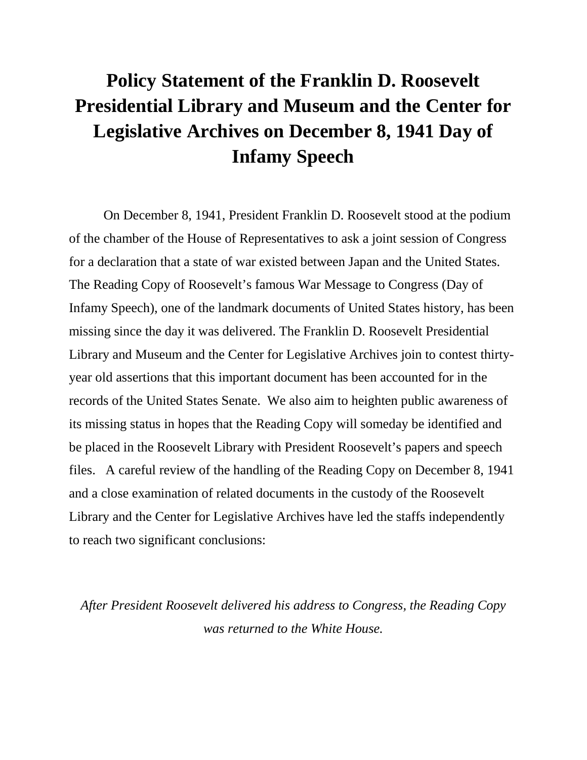## **Policy Statement of the Franklin D. Roosevelt Presidential Library and Museum and the Center for Legislative Archives on December 8, 1941 Day of Infamy Speech**

On December 8, 1941, President Franklin D. Roosevelt stood at the podium of the chamber of the House of Representatives to ask a joint session of Congress for a declaration that a state of war existed between Japan and the United States. The Reading Copy of Roosevelt's famous War Message to Congress (Day of Infamy Speech), one of the landmark documents of United States history, has been missing since the day it was delivered. The Franklin D. Roosevelt Presidential Library and Museum and the Center for Legislative Archives join to contest thirtyyear old assertions that this important document has been accounted for in the records of the United States Senate. We also aim to heighten public awareness of its missing status in hopes that the Reading Copy will someday be identified and be placed in the Roosevelt Library with President Roosevelt's papers and speech files. A careful review of the handling of the Reading Copy on December 8, 1941 and a close examination of related documents in the custody of the Roosevelt Library and the Center for Legislative Archives have led the staffs independently to reach two significant conclusions:

*After President Roosevelt delivered his address to Congress, the Reading Copy was returned to the White House.*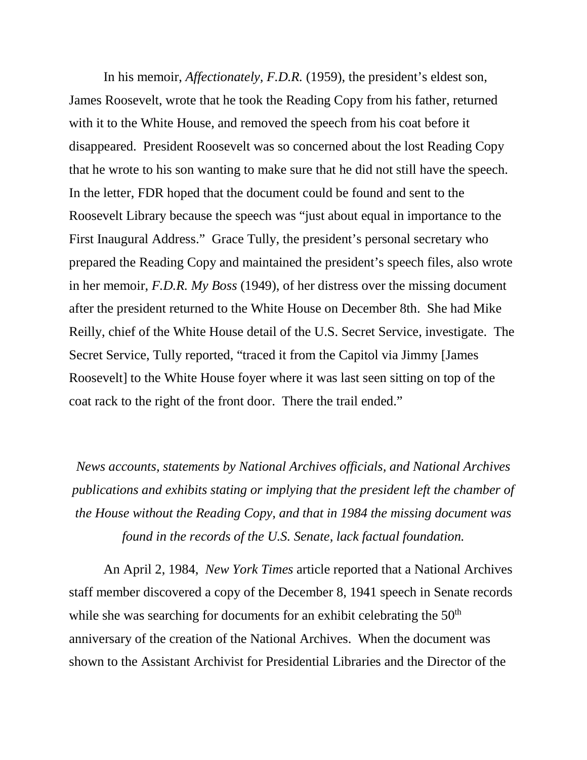In his memoir, *Affectionately, F.D.R.* (1959), the president's eldest son, James Roosevelt, wrote that he took the Reading Copy from his father, returned with it to the White House, and removed the speech from his coat before it disappeared. President Roosevelt was so concerned about the lost Reading Copy that he wrote to his son wanting to make sure that he did not still have the speech. In the letter, FDR hoped that the document could be found and sent to the Roosevelt Library because the speech was "just about equal in importance to the First Inaugural Address." Grace Tully, the president's personal secretary who prepared the Reading Copy and maintained the president's speech files, also wrote in her memoir, *F.D.R. My Boss* (1949), of her distress over the missing document after the president returned to the White House on December 8th. She had Mike Reilly, chief of the White House detail of the U.S. Secret Service, investigate. The Secret Service, Tully reported, "traced it from the Capitol via Jimmy [James Roosevelt] to the White House foyer where it was last seen sitting on top of the coat rack to the right of the front door. There the trail ended."

*News accounts, statements by National Archives officials, and National Archives publications and exhibits stating or implying that the president left the chamber of the House without the Reading Copy, and that in 1984 the missing document was found in the records of the U.S. Senate, lack factual foundation.*

An April 2, 1984, *New York Times* article reported that a National Archives staff member discovered a copy of the December 8, 1941 speech in Senate records while she was searching for documents for an exhibit celebrating the 50<sup>th</sup> anniversary of the creation of the National Archives. When the document was shown to the Assistant Archivist for Presidential Libraries and the Director of the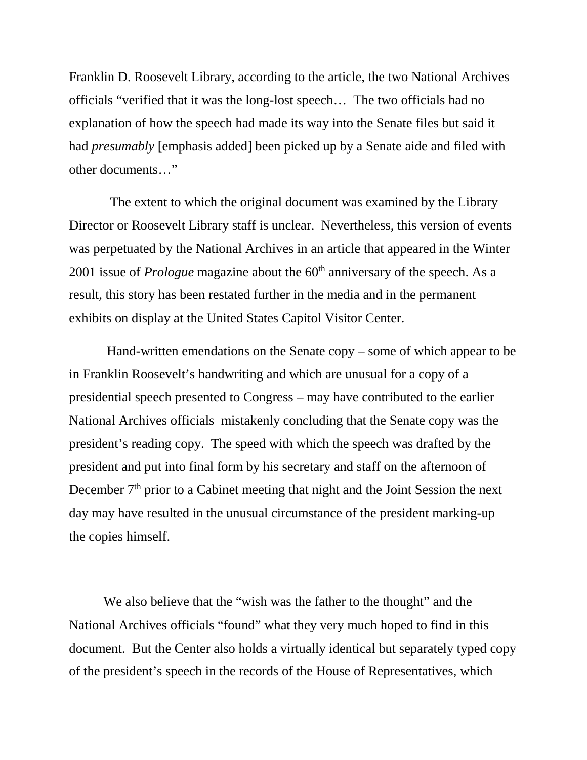Franklin D. Roosevelt Library, according to the article, the two National Archives officials "verified that it was the long-lost speech… The two officials had no explanation of how the speech had made its way into the Senate files but said it had *presumably* [emphasis added] been picked up by a Senate aide and filed with other documents…"

The extent to which the original document was examined by the Library Director or Roosevelt Library staff is unclear. Nevertheless, this version of events was perpetuated by the National Archives in an article that appeared in the Winter 2001 issue of *Prologue* magazine about the 60<sup>th</sup> anniversary of the speech. As a result, this story has been restated further in the media and in the permanent exhibits on display at the United States Capitol Visitor Center.

Hand-written emendations on the Senate copy – some of which appear to be in Franklin Roosevelt's handwriting and which are unusual for a copy of a presidential speech presented to Congress – may have contributed to the earlier National Archives officials mistakenly concluding that the Senate copy was the president's reading copy. The speed with which the speech was drafted by the president and put into final form by his secretary and staff on the afternoon of December  $7<sup>th</sup>$  prior to a Cabinet meeting that night and the Joint Session the next day may have resulted in the unusual circumstance of the president marking-up the copies himself.

We also believe that the "wish was the father to the thought" and the National Archives officials "found" what they very much hoped to find in this document. But the Center also holds a virtually identical but separately typed copy of the president's speech in the records of the House of Representatives, which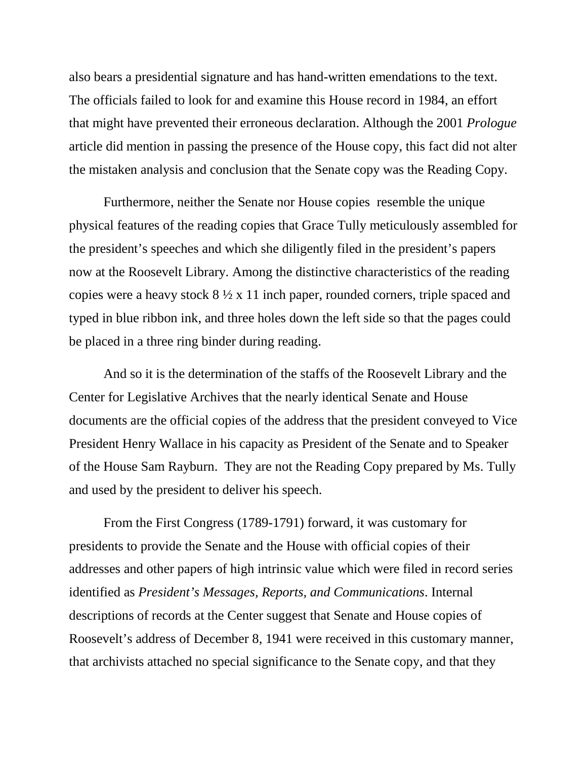also bears a presidential signature and has hand-written emendations to the text. The officials failed to look for and examine this House record in 1984, an effort that might have prevented their erroneous declaration. Although the 2001 *Prologue* article did mention in passing the presence of the House copy, this fact did not alter the mistaken analysis and conclusion that the Senate copy was the Reading Copy.

Furthermore, neither the Senate nor House copies resemble the unique physical features of the reading copies that Grace Tully meticulously assembled for the president's speeches and which she diligently filed in the president's papers now at the Roosevelt Library. Among the distinctive characteristics of the reading copies were a heavy stock 8 ½ x 11 inch paper, rounded corners, triple spaced and typed in blue ribbon ink, and three holes down the left side so that the pages could be placed in a three ring binder during reading.

And so it is the determination of the staffs of the Roosevelt Library and the Center for Legislative Archives that the nearly identical Senate and House documents are the official copies of the address that the president conveyed to Vice President Henry Wallace in his capacity as President of the Senate and to Speaker of the House Sam Rayburn. They are not the Reading Copy prepared by Ms. Tully and used by the president to deliver his speech.

From the First Congress (1789-1791) forward, it was customary for presidents to provide the Senate and the House with official copies of their addresses and other papers of high intrinsic value which were filed in record series identified as *President's Messages, Reports, and Communications*. Internal descriptions of records at the Center suggest that Senate and House copies of Roosevelt's address of December 8, 1941 were received in this customary manner, that archivists attached no special significance to the Senate copy, and that they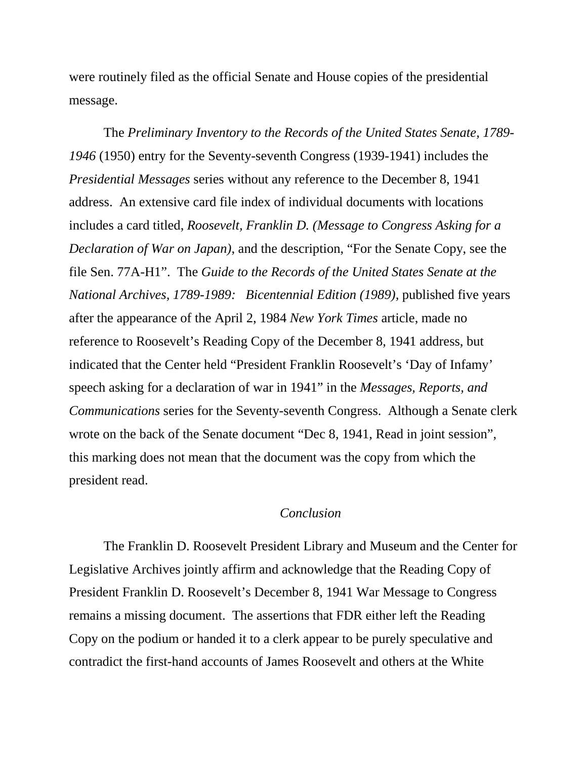were routinely filed as the official Senate and House copies of the presidential message.

The *Preliminary Inventory to the Records of the United States Senate, 1789- 1946* (1950) entry for the Seventy-seventh Congress (1939-1941) includes the *Presidential Messages* series without any reference to the December 8, 1941 address. An extensive card file index of individual documents with locations includes a card titled, *Roosevelt, Franklin D. (Message to Congress Asking for a Declaration of War on Japan)*, and the description, "For the Senate Copy, see the file Sen. 77A-H1". The *Guide to the Records of the United States Senate at the National Archives, 1789-1989: Bicentennial Edition (1989),* published five years after the appearance of the April 2, 1984 *New York Times* article, made no reference to Roosevelt's Reading Copy of the December 8, 1941 address, but indicated that the Center held "President Franklin Roosevelt's 'Day of Infamy' speech asking for a declaration of war in 1941" in the *Messages, Reports, and Communications* series for the Seventy-seventh Congress. Although a Senate clerk wrote on the back of the Senate document "Dec 8, 1941, Read in joint session", this marking does not mean that the document was the copy from which the president read.

## *Conclusion*

The Franklin D. Roosevelt President Library and Museum and the Center for Legislative Archives jointly affirm and acknowledge that the Reading Copy of President Franklin D. Roosevelt's December 8, 1941 War Message to Congress remains a missing document. The assertions that FDR either left the Reading Copy on the podium or handed it to a clerk appear to be purely speculative and contradict the first-hand accounts of James Roosevelt and others at the White